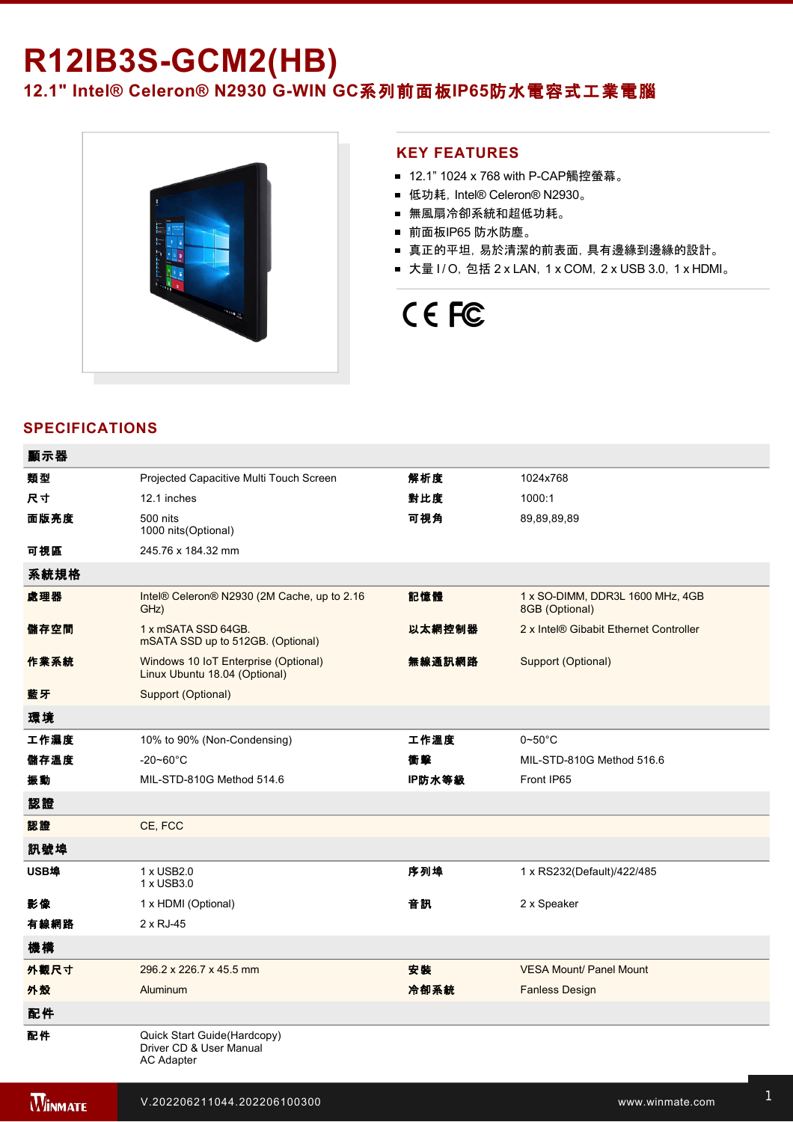# **R12IB3S-GCM2(HB)**

12.1" Intel® Celeron® N2930 G-WIN GC系列前面板IP65防水電容式工業電腦



#### **KEY FEATURES**

- 12.1" 1024 x 768 with P-CAP觸控螢幕。
- 低功耗, Intel® Celeron® N2930。
- 無風扇冷卻系統和超低功耗。
- 前面板IP65 防水防塵。
- 真正的平坦, 易於清潔的前表面, 具有邊緣到邊緣的設計。
- 大量 I / O, 包括 2 x LAN, 1 x COM, 2 x USB 3.0, 1 x HDMI。

## CE FC

## **SPECIFICATIONS**

| 顯示器  |                                                                       |        |                                                    |
|------|-----------------------------------------------------------------------|--------|----------------------------------------------------|
| 類型   | Projected Capacitive Multi Touch Screen                               | 解析度    | 1024x768                                           |
| 尺寸   | 12.1 inches                                                           | 對比度    | 1000:1                                             |
| 面版亮度 | 500 nits<br>1000 nits (Optional)                                      | 可視角    | 89,89,89,89                                        |
| 可視區  | 245.76 x 184.32 mm                                                    |        |                                                    |
| 系統規格 |                                                                       |        |                                                    |
| 處理器  | Intel® Celeron® N2930 (2M Cache, up to 2.16<br>GHz)                   | 記憶體    | 1 x SO-DIMM, DDR3L 1600 MHz, 4GB<br>8GB (Optional) |
| 儲存空間 | 1 x mSATA SSD 64GB.<br>mSATA SSD up to 512GB. (Optional)              | 以太網控制器 | 2 x Intel® Gibabit Ethernet Controller             |
| 作業系統 | Windows 10 IoT Enterprise (Optional)<br>Linux Ubuntu 18.04 (Optional) | 無線通訊網路 | Support (Optional)                                 |
| 藍牙   | Support (Optional)                                                    |        |                                                    |
| 環境   |                                                                       |        |                                                    |
| 工作濕度 | 10% to 90% (Non-Condensing)                                           | 工作溫度   | $0\negthinspace$ -50 $^{\circ}$ C                  |
| 儲存溫度 | $-20 - 60^{\circ}$ C                                                  | 衝擊     | MIL-STD-810G Method 516.6                          |
| 振動   | MIL-STD-810G Method 514.6                                             | IP防水等級 | Front IP65                                         |
| 認證   |                                                                       |        |                                                    |
| 認證   | CE, FCC                                                               |        |                                                    |
| 訊號埠  |                                                                       |        |                                                    |
| USB埠 | 1 x USB2.0<br>1 x USB3.0                                              | 序列埠    | 1 x RS232(Default)/422/485                         |
| 影像   | 1 x HDMI (Optional)                                                   | 音訊     | 2 x Speaker                                        |
| 有線網路 | 2 x RJ-45                                                             |        |                                                    |
| 機構   |                                                                       |        |                                                    |
| 外觀尺寸 | 296.2 x 226.7 x 45.5 mm                                               | 安装     | <b>VESA Mount/ Panel Mount</b>                     |
| 外殼   | Aluminum                                                              | 冷卻系統   | <b>Fanless Design</b>                              |
| 配件   |                                                                       |        |                                                    |
| 配件   | Quick Start Guide(Hardcopy)<br>Driver CD & User Manual<br>AC Adapter  |        |                                                    |

電源規格 12V DC in